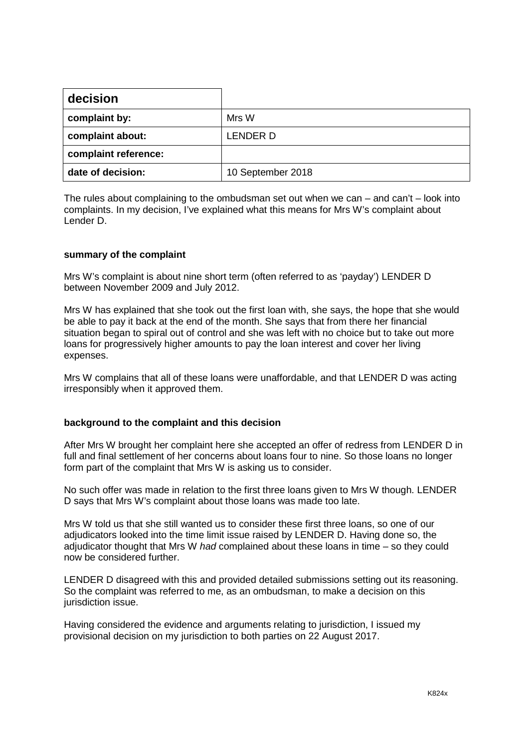| decision             |                   |
|----------------------|-------------------|
| complaint by:        | Mrs W             |
| complaint about:     | LENDER D          |
| complaint reference: |                   |
| date of decision:    | 10 September 2018 |

The rules about complaining to the ombudsman set out when we can – and can't – look into complaints. In my decision, I've explained what this means for Mrs W's complaint about Lender D.

# **summary of the complaint**

Mrs W's complaint is about nine short term (often referred to as 'payday') LENDER D between November 2009 and July 2012.

Mrs W has explained that she took out the first loan with, she says, the hope that she would be able to pay it back at the end of the month. She says that from there her financial situation began to spiral out of control and she was left with no choice but to take out more loans for progressively higher amounts to pay the loan interest and cover her living expenses.

Mrs W complains that all of these loans were unaffordable, and that LENDER D was acting irresponsibly when it approved them.

## **background to the complaint and this decision**

After Mrs W brought her complaint here she accepted an offer of redress from LENDER D in full and final settlement of her concerns about loans four to nine. So those loans no longer form part of the complaint that Mrs W is asking us to consider.

No such offer was made in relation to the first three loans given to Mrs W though. LENDER D says that Mrs W's complaint about those loans was made too late.

Mrs W told us that she still wanted us to consider these first three loans, so one of our adjudicators looked into the time limit issue raised by LENDER D. Having done so, the adjudicator thought that Mrs W *had* complained about these loans in time – so they could now be considered further.

LENDER D disagreed with this and provided detailed submissions setting out its reasoning. So the complaint was referred to me, as an ombudsman, to make a decision on this jurisdiction issue.

Having considered the evidence and arguments relating to jurisdiction, I issued my provisional decision on my jurisdiction to both parties on 22 August 2017.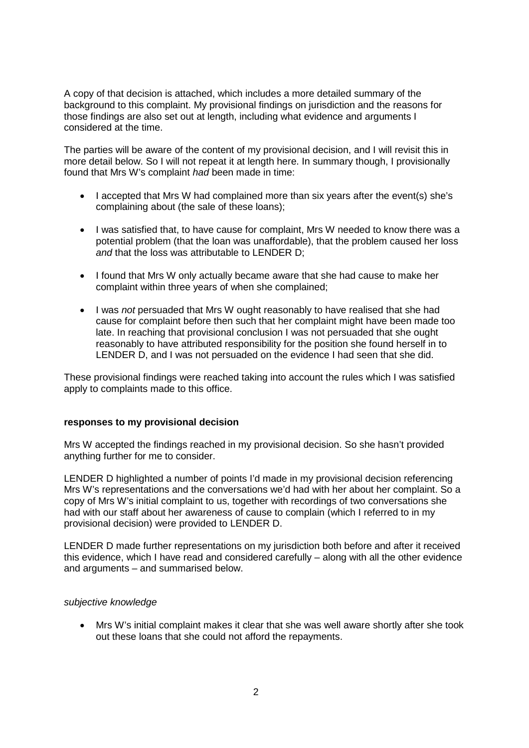A copy of that decision is attached, which includes a more detailed summary of the background to this complaint. My provisional findings on jurisdiction and the reasons for those findings are also set out at length, including what evidence and arguments I considered at the time.

The parties will be aware of the content of my provisional decision, and I will revisit this in more detail below. So I will not repeat it at length here. In summary though, I provisionally found that Mrs W's complaint *had* been made in time:

- I accepted that Mrs W had complained more than six years after the event(s) she's complaining about (the sale of these loans);
- I was satisfied that, to have cause for complaint, Mrs W needed to know there was a potential problem (that the loan was unaffordable), that the problem caused her loss *and* that the loss was attributable to LENDER D;
- I found that Mrs W only actually became aware that she had cause to make her complaint within three years of when she complained;
- I was *not* persuaded that Mrs W ought reasonably to have realised that she had cause for complaint before then such that her complaint might have been made too late. In reaching that provisional conclusion I was not persuaded that she ought reasonably to have attributed responsibility for the position she found herself in to LENDER D, and I was not persuaded on the evidence I had seen that she did.

These provisional findings were reached taking into account the rules which I was satisfied apply to complaints made to this office.

## **responses to my provisional decision**

Mrs W accepted the findings reached in my provisional decision. So she hasn't provided anything further for me to consider.

LENDER D highlighted a number of points I'd made in my provisional decision referencing Mrs W's representations and the conversations we'd had with her about her complaint. So a copy of Mrs W's initial complaint to us, together with recordings of two conversations she had with our staff about her awareness of cause to complain (which I referred to in my provisional decision) were provided to LENDER D.

LENDER D made further representations on my jurisdiction both before and after it received this evidence, which I have read and considered carefully – along with all the other evidence and arguments – and summarised below.

## *subjective knowledge*

• Mrs W's initial complaint makes it clear that she was well aware shortly after she took out these loans that she could not afford the repayments.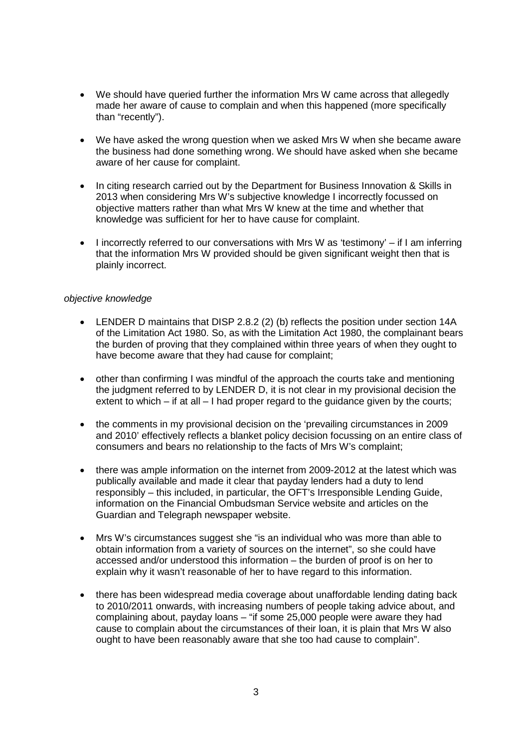- We should have queried further the information Mrs W came across that allegedly made her aware of cause to complain and when this happened (more specifically than "recently").
- We have asked the wrong question when we asked Mrs W when she became aware the business had done something wrong. We should have asked when she became aware of her cause for complaint.
- In citing research carried out by the Department for Business Innovation & Skills in 2013 when considering Mrs W's subjective knowledge I incorrectly focussed on objective matters rather than what Mrs W knew at the time and whether that knowledge was sufficient for her to have cause for complaint.
- I incorrectly referred to our conversations with Mrs W as 'testimony' if I am inferring that the information Mrs W provided should be given significant weight then that is plainly incorrect.

# *objective knowledge*

- LENDER D maintains that DISP 2.8.2 (2) (b) reflects the position under section 14A of the Limitation Act 1980. So, as with the Limitation Act 1980, the complainant bears the burden of proving that they complained within three years of when they ought to have become aware that they had cause for complaint;
- other than confirming I was mindful of the approach the courts take and mentioning the judgment referred to by LENDER D, it is not clear in my provisional decision the extent to which – if at all – I had proper regard to the guidance given by the courts;
- the comments in my provisional decision on the 'prevailing circumstances in 2009 and 2010' effectively reflects a blanket policy decision focussing on an entire class of consumers and bears no relationship to the facts of Mrs W's complaint;
- there was ample information on the internet from 2009-2012 at the latest which was publically available and made it clear that payday lenders had a duty to lend responsibly – this included, in particular, the OFT's Irresponsible Lending Guide, information on the Financial Ombudsman Service website and articles on the Guardian and Telegraph newspaper website.
- Mrs W's circumstances suggest she "is an individual who was more than able to obtain information from a variety of sources on the internet", so she could have accessed and/or understood this information – the burden of proof is on her to explain why it wasn't reasonable of her to have regard to this information.
- there has been widespread media coverage about unaffordable lending dating back to 2010/2011 onwards, with increasing numbers of people taking advice about, and complaining about, payday loans – "if some 25,000 people were aware they had cause to complain about the circumstances of their loan, it is plain that Mrs W also ought to have been reasonably aware that she too had cause to complain".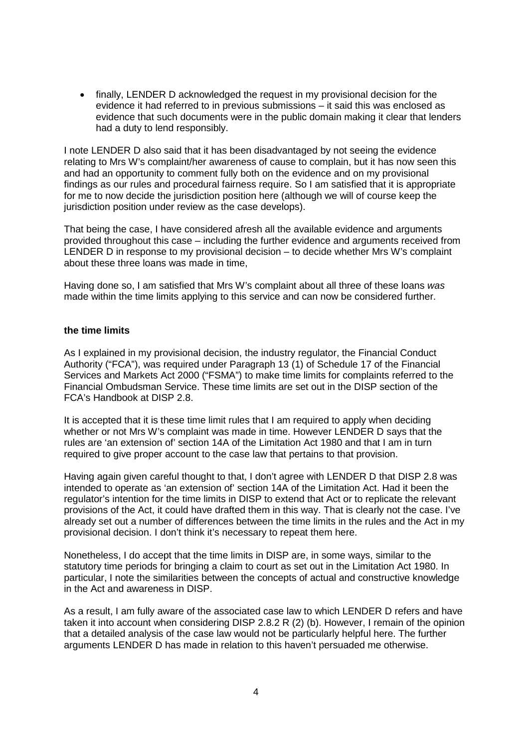• finally, LENDER D acknowledged the request in my provisional decision for the evidence it had referred to in previous submissions – it said this was enclosed as evidence that such documents were in the public domain making it clear that lenders had a duty to lend responsibly.

I note LENDER D also said that it has been disadvantaged by not seeing the evidence relating to Mrs W's complaint/her awareness of cause to complain, but it has now seen this and had an opportunity to comment fully both on the evidence and on my provisional findings as our rules and procedural fairness require. So I am satisfied that it is appropriate for me to now decide the jurisdiction position here (although we will of course keep the jurisdiction position under review as the case develops).

That being the case, I have considered afresh all the available evidence and arguments provided throughout this case – including the further evidence and arguments received from LENDER D in response to my provisional decision – to decide whether Mrs W's complaint about these three loans was made in time,

Having done so, I am satisfied that Mrs W's complaint about all three of these loans *was*  made within the time limits applying to this service and can now be considered further.

# **the time limits**

As I explained in my provisional decision, the industry regulator, the Financial Conduct Authority ("FCA"), was required under Paragraph 13 (1) of Schedule 17 of the Financial Services and Markets Act 2000 ("FSMA") to make time limits for complaints referred to the Financial Ombudsman Service. These time limits are set out in the DISP section of the FCA's Handbook at DISP 2.8.

It is accepted that it is these time limit rules that I am required to apply when deciding whether or not Mrs W's complaint was made in time. However LENDER D says that the rules are 'an extension of' section 14A of the Limitation Act 1980 and that I am in turn required to give proper account to the case law that pertains to that provision.

Having again given careful thought to that, I don't agree with LENDER D that DISP 2.8 was intended to operate as 'an extension of' section 14A of the Limitation Act. Had it been the regulator's intention for the time limits in DISP to extend that Act or to replicate the relevant provisions of the Act, it could have drafted them in this way. That is clearly not the case. I've already set out a number of differences between the time limits in the rules and the Act in my provisional decision. I don't think it's necessary to repeat them here.

Nonetheless, I do accept that the time limits in DISP are, in some ways, similar to the statutory time periods for bringing a claim to court as set out in the Limitation Act 1980. In particular, I note the similarities between the concepts of actual and constructive knowledge in the Act and awareness in DISP.

As a result, I am fully aware of the associated case law to which LENDER D refers and have taken it into account when considering DISP 2.8.2 R (2) (b). However, I remain of the opinion that a detailed analysis of the case law would not be particularly helpful here. The further arguments LENDER D has made in relation to this haven't persuaded me otherwise.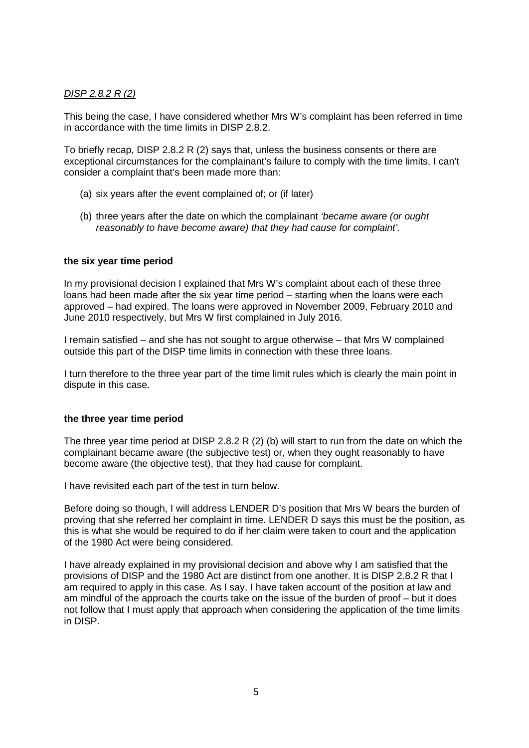# *DISP 2.8.2 R (2)*

This being the case, I have considered whether Mrs W's complaint has been referred in time in accordance with the time limits in DISP 2.8.2.

To briefly recap, DISP 2.8.2 R (2) says that, unless the business consents or there are exceptional circumstances for the complainant's failure to comply with the time limits, I can't consider a complaint that's been made more than:

- (a) six years after the event complained of; or (if later)
- (b) three years after the date on which the complainant *'became aware (or ought reasonably to have become aware) that they had cause for complaint'*.

# **the six year time period**

In my provisional decision I explained that Mrs W's complaint about each of these three loans had been made after the six year time period – starting when the loans were each approved – had expired. The loans were approved in November 2009, February 2010 and June 2010 respectively, but Mrs W first complained in July 2016.

I remain satisfied – and she has not sought to argue otherwise – that Mrs W complained outside this part of the DISP time limits in connection with these three loans.

I turn therefore to the three year part of the time limit rules which is clearly the main point in dispute in this case.

## **the three year time period**

The three year time period at DISP 2.8.2 R (2) (b) will start to run from the date on which the complainant became aware (the subjective test) or, when they ought reasonably to have become aware (the objective test), that they had cause for complaint.

I have revisited each part of the test in turn below.

Before doing so though, I will address LENDER D's position that Mrs W bears the burden of proving that she referred her complaint in time. LENDER D says this must be the position, as this is what she would be required to do if her claim were taken to court and the application of the 1980 Act were being considered.

I have already explained in my provisional decision and above why I am satisfied that the provisions of DISP and the 1980 Act are distinct from one another. It is DISP 2.8.2 R that I am required to apply in this case. As I say, I have taken account of the position at law and am mindful of the approach the courts take on the issue of the burden of proof – but it does not follow that I must apply that approach when considering the application of the time limits in DISP.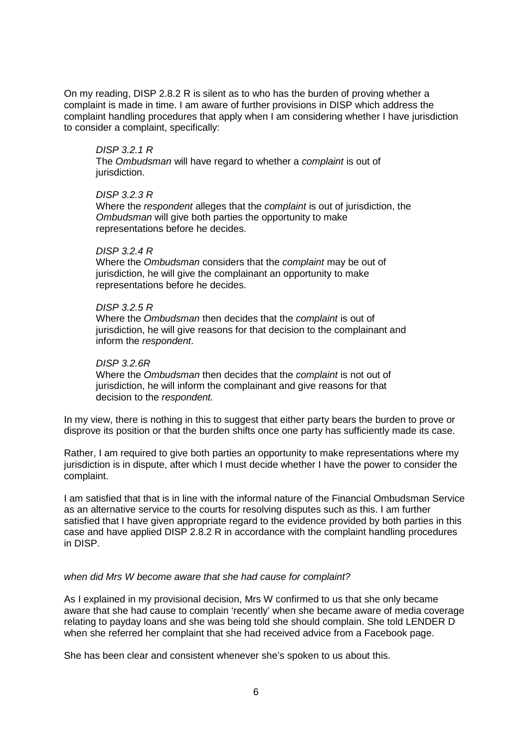On my reading, DISP 2.8.2 R is silent as to who has the burden of proving whether a complaint is made in time. I am aware of further provisions in DISP which address the complaint handling procedures that apply when I am considering whether I have jurisdiction to consider a complaint, specifically:

## *DISP 3.2.1 R*

The *Ombudsman* will have regard to whether a *complaint* is out of jurisdiction.

# *DISP 3.2.3 R*

Where the *respondent* alleges that the *complaint* is out of jurisdiction, the *Ombudsman* will give both parties the opportunity to make representations before he decides.

# *DISP 3.2.4 R*

Where the *Ombudsman* considers that the *complaint* may be out of jurisdiction, he will give the complainant an opportunity to make representations before he decides.

# *DISP 3.2.5 R*

Where the *Ombudsman* then decides that the *complaint* is out of jurisdiction, he will give reasons for that decision to the complainant and inform the *respondent*.

# *DISP 3.2.6R*

Where the *Ombudsman* then decides that the *complaint* is not out of jurisdiction, he will inform the complainant and give reasons for that decision to the *respondent.*

In my view, there is nothing in this to suggest that either party bears the burden to prove or disprove its position or that the burden shifts once one party has sufficiently made its case.

Rather, I am required to give both parties an opportunity to make representations where my jurisdiction is in dispute, after which I must decide whether I have the power to consider the complaint.

I am satisfied that that is in line with the informal nature of the Financial Ombudsman Service as an alternative service to the courts for resolving disputes such as this. I am further satisfied that I have given appropriate regard to the evidence provided by both parties in this case and have applied DISP 2.8.2 R in accordance with the complaint handling procedures in DISP.

# *when did Mrs W become aware that she had cause for complaint?*

As I explained in my provisional decision, Mrs W confirmed to us that she only became aware that she had cause to complain 'recently' when she became aware of media coverage relating to payday loans and she was being told she should complain. She told LENDER D when she referred her complaint that she had received advice from a Facebook page.

She has been clear and consistent whenever she's spoken to us about this.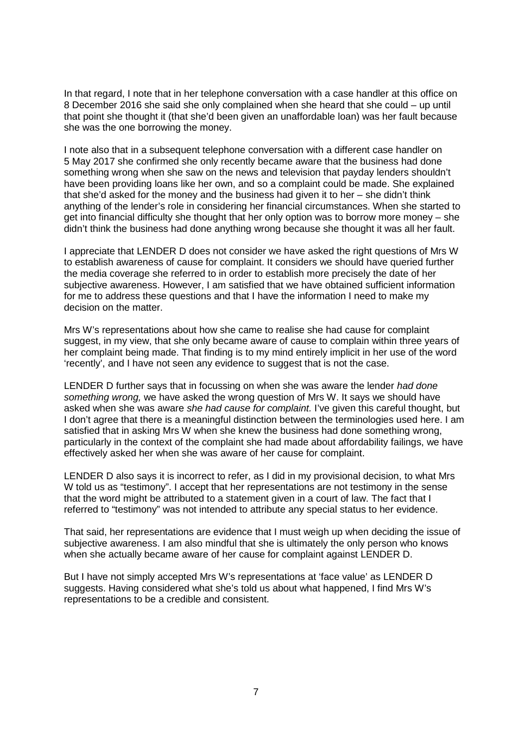In that regard, I note that in her telephone conversation with a case handler at this office on 8 December 2016 she said she only complained when she heard that she could – up until that point she thought it (that she'd been given an unaffordable loan) was her fault because she was the one borrowing the money.

I note also that in a subsequent telephone conversation with a different case handler on 5 May 2017 she confirmed she only recently became aware that the business had done something wrong when she saw on the news and television that payday lenders shouldn't have been providing loans like her own, and so a complaint could be made. She explained that she'd asked for the money and the business had given it to her – she didn't think anything of the lender's role in considering her financial circumstances. When she started to get into financial difficulty she thought that her only option was to borrow more money – she didn't think the business had done anything wrong because she thought it was all her fault.

I appreciate that LENDER D does not consider we have asked the right questions of Mrs W to establish awareness of cause for complaint. It considers we should have queried further the media coverage she referred to in order to establish more precisely the date of her subjective awareness. However, I am satisfied that we have obtained sufficient information for me to address these questions and that I have the information I need to make my decision on the matter.

Mrs W's representations about how she came to realise she had cause for complaint suggest, in my view, that she only became aware of cause to complain within three years of her complaint being made. That finding is to my mind entirely implicit in her use of the word 'recently', and I have not seen any evidence to suggest that is not the case.

LENDER D further says that in focussing on when she was aware the lender *had done something wrong,* we have asked the wrong question of Mrs W. It says we should have asked when she was aware *she had cause for complaint.* I've given this careful thought, but I don't agree that there is a meaningful distinction between the terminologies used here. I am satisfied that in asking Mrs W when she knew the business had done something wrong, particularly in the context of the complaint she had made about affordability failings, we have effectively asked her when she was aware of her cause for complaint.

LENDER D also says it is incorrect to refer, as I did in my provisional decision, to what Mrs W told us as "testimony". I accept that her representations are not testimony in the sense that the word might be attributed to a statement given in a court of law. The fact that I referred to "testimony" was not intended to attribute any special status to her evidence.

That said, her representations are evidence that I must weigh up when deciding the issue of subjective awareness. I am also mindful that she is ultimately the only person who knows when she actually became aware of her cause for complaint against LENDER D.

But I have not simply accepted Mrs W's representations at 'face value' as LENDER D suggests. Having considered what she's told us about what happened, I find Mrs W's representations to be a credible and consistent.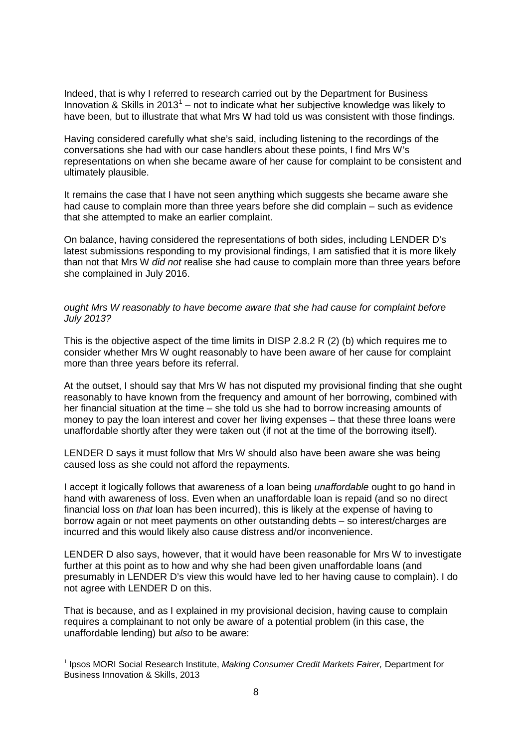Indeed, that is why I referred to research carried out by the Department for Business Innovation & Skills in  $2013<sup>1</sup>$  $2013<sup>1</sup>$  $2013<sup>1</sup>$  – not to indicate what her subjective knowledge was likely to have been, but to illustrate that what Mrs W had told us was consistent with those findings.

Having considered carefully what she's said, including listening to the recordings of the conversations she had with our case handlers about these points, I find Mrs W's representations on when she became aware of her cause for complaint to be consistent and ultimately plausible.

It remains the case that I have not seen anything which suggests she became aware she had cause to complain more than three years before she did complain – such as evidence that she attempted to make an earlier complaint.

On balance, having considered the representations of both sides, including LENDER D's latest submissions responding to my provisional findings, I am satisfied that it is more likely than not that Mrs W *did not* realise she had cause to complain more than three years before she complained in July 2016.

## *ought Mrs W reasonably to have become aware that she had cause for complaint before July 2013?*

This is the objective aspect of the time limits in DISP 2.8.2 R (2) (b) which requires me to consider whether Mrs W ought reasonably to have been aware of her cause for complaint more than three years before its referral.

At the outset, I should say that Mrs W has not disputed my provisional finding that she ought reasonably to have known from the frequency and amount of her borrowing, combined with her financial situation at the time – she told us she had to borrow increasing amounts of money to pay the loan interest and cover her living expenses – that these three loans were unaffordable shortly after they were taken out (if not at the time of the borrowing itself).

LENDER D says it must follow that Mrs W should also have been aware she was being caused loss as she could not afford the repayments.

I accept it logically follows that awareness of a loan being *unaffordable* ought to go hand in hand with awareness of loss. Even when an unaffordable loan is repaid (and so no direct financial loss on *that* loan has been incurred), this is likely at the expense of having to borrow again or not meet payments on other outstanding debts – so interest/charges are incurred and this would likely also cause distress and/or inconvenience.

LENDER D also says, however, that it would have been reasonable for Mrs W to investigate further at this point as to how and why she had been given unaffordable loans (and presumably in LENDER D's view this would have led to her having cause to complain). I do not agree with LENDER D on this.

That is because, and as I explained in my provisional decision, having cause to complain requires a complainant to not only be aware of a potential problem (in this case, the unaffordable lending) but *also* to be aware:

<span id="page-7-0"></span><sup>1</sup> Ipsos MORI Social Research Institute, *Making Consumer Credit Markets Fairer,* Department for Business Innovation & Skills, 2013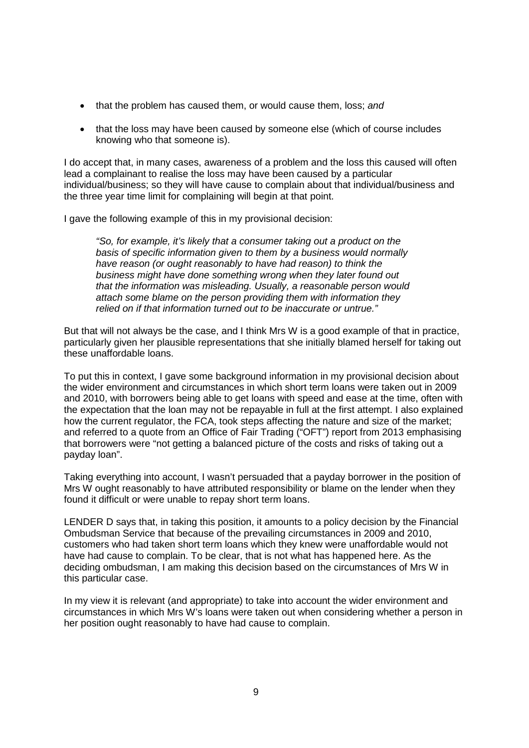- that the problem has caused them, or would cause them, loss; *and*
- that the loss may have been caused by someone else (which of course includes knowing who that someone is).

I do accept that, in many cases, awareness of a problem and the loss this caused will often lead a complainant to realise the loss may have been caused by a particular individual/business; so they will have cause to complain about that individual/business and the three year time limit for complaining will begin at that point.

I gave the following example of this in my provisional decision:

*"So, for example, it's likely that a consumer taking out a product on the basis of specific information given to them by a business would normally have reason (or ought reasonably to have had reason) to think the business might have done something wrong when they later found out that the information was misleading. Usually, a reasonable person would attach some blame on the person providing them with information they relied on if that information turned out to be inaccurate or untrue."*

But that will not always be the case, and I think Mrs W is a good example of that in practice, particularly given her plausible representations that she initially blamed herself for taking out these unaffordable loans.

To put this in context, I gave some background information in my provisional decision about the wider environment and circumstances in which short term loans were taken out in 2009 and 2010, with borrowers being able to get loans with speed and ease at the time, often with the expectation that the loan may not be repayable in full at the first attempt. I also explained how the current regulator, the FCA, took steps affecting the nature and size of the market; and referred to a quote from an Office of Fair Trading ("OFT") report from 2013 emphasising that borrowers were "not getting a balanced picture of the costs and risks of taking out a payday loan".

Taking everything into account, I wasn't persuaded that a payday borrower in the position of Mrs W ought reasonably to have attributed responsibility or blame on the lender when they found it difficult or were unable to repay short term loans.

LENDER D says that, in taking this position, it amounts to a policy decision by the Financial Ombudsman Service that because of the prevailing circumstances in 2009 and 2010, customers who had taken short term loans which they knew were unaffordable would not have had cause to complain. To be clear, that is not what has happened here. As the deciding ombudsman, I am making this decision based on the circumstances of Mrs W in this particular case.

In my view it is relevant (and appropriate) to take into account the wider environment and circumstances in which Mrs W's loans were taken out when considering whether a person in her position ought reasonably to have had cause to complain.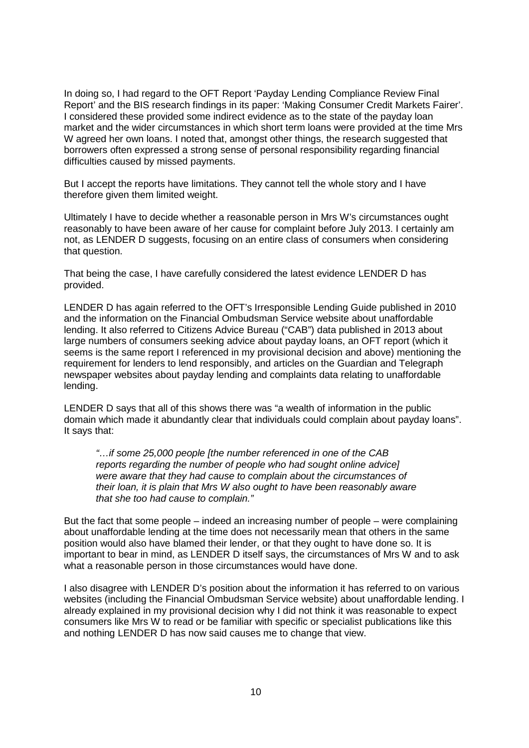In doing so, I had regard to the OFT Report 'Payday Lending Compliance Review Final Report' and the BIS research findings in its paper: 'Making Consumer Credit Markets Fairer'. I considered these provided some indirect evidence as to the state of the payday loan market and the wider circumstances in which short term loans were provided at the time Mrs W agreed her own loans. I noted that, amongst other things, the research suggested that borrowers often expressed a strong sense of personal responsibility regarding financial difficulties caused by missed payments.

But I accept the reports have limitations. They cannot tell the whole story and I have therefore given them limited weight.

Ultimately I have to decide whether a reasonable person in Mrs W's circumstances ought reasonably to have been aware of her cause for complaint before July 2013. I certainly am not, as LENDER D suggests, focusing on an entire class of consumers when considering that question.

That being the case, I have carefully considered the latest evidence LENDER D has provided.

LENDER D has again referred to the OFT's Irresponsible Lending Guide published in 2010 and the information on the Financial Ombudsman Service website about unaffordable lending. It also referred to Citizens Advice Bureau ("CAB") data published in 2013 about large numbers of consumers seeking advice about payday loans, an OFT report (which it seems is the same report I referenced in my provisional decision and above) mentioning the requirement for lenders to lend responsibly, and articles on the Guardian and Telegraph newspaper websites about payday lending and complaints data relating to unaffordable lending.

LENDER D says that all of this shows there was "a wealth of information in the public domain which made it abundantly clear that individuals could complain about payday loans". It says that:

*"…if some 25,000 people [the number referenced in one of the CAB reports regarding the number of people who had sought online advice] were aware that they had cause to complain about the circumstances of their loan, it is plain that Mrs W also ought to have been reasonably aware that she too had cause to complain."*

But the fact that some people – indeed an increasing number of people – were complaining about unaffordable lending at the time does not necessarily mean that others in the same position would also have blamed their lender, or that they ought to have done so. It is important to bear in mind, as LENDER D itself says, the circumstances of Mrs W and to ask what a reasonable person in those circumstances would have done.

I also disagree with LENDER D's position about the information it has referred to on various websites (including the Financial Ombudsman Service website) about unaffordable lending. I already explained in my provisional decision why I did not think it was reasonable to expect consumers like Mrs W to read or be familiar with specific or specialist publications like this and nothing LENDER D has now said causes me to change that view.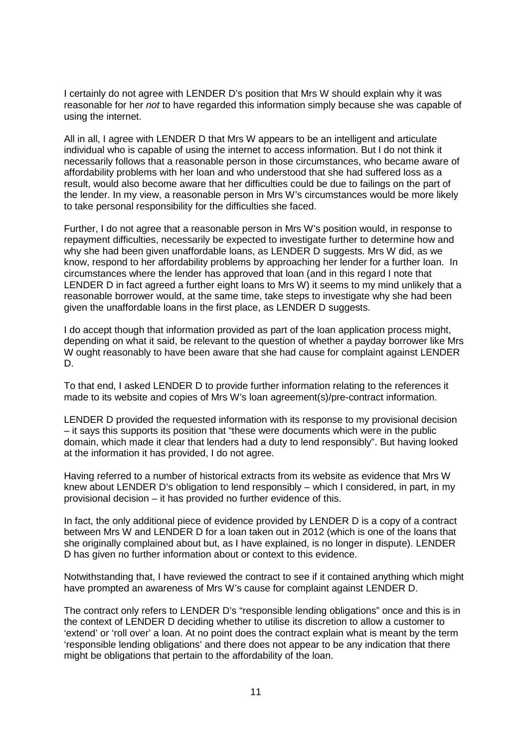I certainly do not agree with LENDER D's position that Mrs W should explain why it was reasonable for her *not* to have regarded this information simply because she was capable of using the internet.

All in all, I agree with LENDER D that Mrs W appears to be an intelligent and articulate individual who is capable of using the internet to access information. But I do not think it necessarily follows that a reasonable person in those circumstances, who became aware of affordability problems with her loan and who understood that she had suffered loss as a result, would also become aware that her difficulties could be due to failings on the part of the lender. In my view, a reasonable person in Mrs W's circumstances would be more likely to take personal responsibility for the difficulties she faced.

Further, I do not agree that a reasonable person in Mrs W's position would, in response to repayment difficulties, necessarily be expected to investigate further to determine how and why she had been given unaffordable loans, as LENDER D suggests. Mrs W did, as we know, respond to her affordability problems by approaching her lender for a further loan. In circumstances where the lender has approved that loan (and in this regard I note that LENDER D in fact agreed a further eight loans to Mrs W) it seems to my mind unlikely that a reasonable borrower would, at the same time, take steps to investigate why she had been given the unaffordable loans in the first place, as LENDER D suggests.

I do accept though that information provided as part of the loan application process might, depending on what it said, be relevant to the question of whether a payday borrower like Mrs W ought reasonably to have been aware that she had cause for complaint against LENDER D.

To that end, I asked LENDER D to provide further information relating to the references it made to its website and copies of Mrs W's loan agreement(s)/pre-contract information.

LENDER D provided the requested information with its response to my provisional decision – it says this supports its position that "these were documents which were in the public domain, which made it clear that lenders had a duty to lend responsibly". But having looked at the information it has provided, I do not agree.

Having referred to a number of historical extracts from its website as evidence that Mrs W knew about LENDER D's obligation to lend responsibly – which I considered, in part, in my provisional decision – it has provided no further evidence of this.

In fact, the only additional piece of evidence provided by LENDER D is a copy of a contract between Mrs W and LENDER D for a loan taken out in 2012 (which is one of the loans that she originally complained about but, as I have explained, is no longer in dispute). LENDER D has given no further information about or context to this evidence.

Notwithstanding that, I have reviewed the contract to see if it contained anything which might have prompted an awareness of Mrs W's cause for complaint against LENDER D.

The contract only refers to LENDER D's "responsible lending obligations" once and this is in the context of LENDER D deciding whether to utilise its discretion to allow a customer to 'extend' or 'roll over' a loan. At no point does the contract explain what is meant by the term 'responsible lending obligations' and there does not appear to be any indication that there might be obligations that pertain to the affordability of the loan.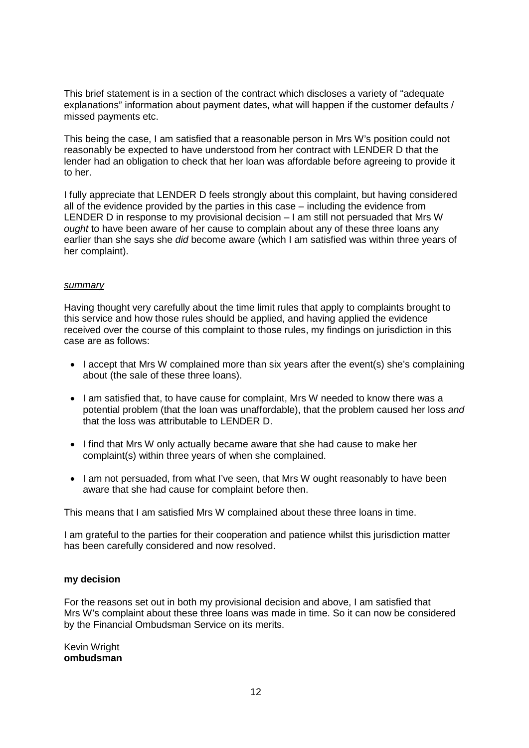This brief statement is in a section of the contract which discloses a variety of "adequate explanations" information about payment dates, what will happen if the customer defaults / missed payments etc.

This being the case, I am satisfied that a reasonable person in Mrs W's position could not reasonably be expected to have understood from her contract with LENDER D that the lender had an obligation to check that her loan was affordable before agreeing to provide it to her.

I fully appreciate that LENDER D feels strongly about this complaint, but having considered all of the evidence provided by the parties in this case – including the evidence from LENDER D in response to my provisional decision – I am still not persuaded that Mrs W *ought* to have been aware of her cause to complain about any of these three loans any earlier than she says she *did* become aware (which I am satisfied was within three years of her complaint).

# *summary*

Having thought very carefully about the time limit rules that apply to complaints brought to this service and how those rules should be applied, and having applied the evidence received over the course of this complaint to those rules, my findings on jurisdiction in this case are as follows:

- I accept that Mrs W complained more than six years after the event(s) she's complaining about (the sale of these three loans).
- I am satisfied that, to have cause for complaint. Mrs W needed to know there was a potential problem (that the loan was unaffordable), that the problem caused her loss *and*  that the loss was attributable to LENDER D.
- I find that Mrs W only actually became aware that she had cause to make her complaint(s) within three years of when she complained.
- I am not persuaded, from what I've seen, that Mrs W ought reasonably to have been aware that she had cause for complaint before then.

This means that I am satisfied Mrs W complained about these three loans in time.

I am grateful to the parties for their cooperation and patience whilst this jurisdiction matter has been carefully considered and now resolved.

## **my decision**

For the reasons set out in both my provisional decision and above, I am satisfied that Mrs W's complaint about these three loans was made in time. So it can now be considered by the Financial Ombudsman Service on its merits.

Kevin Wright **ombudsman**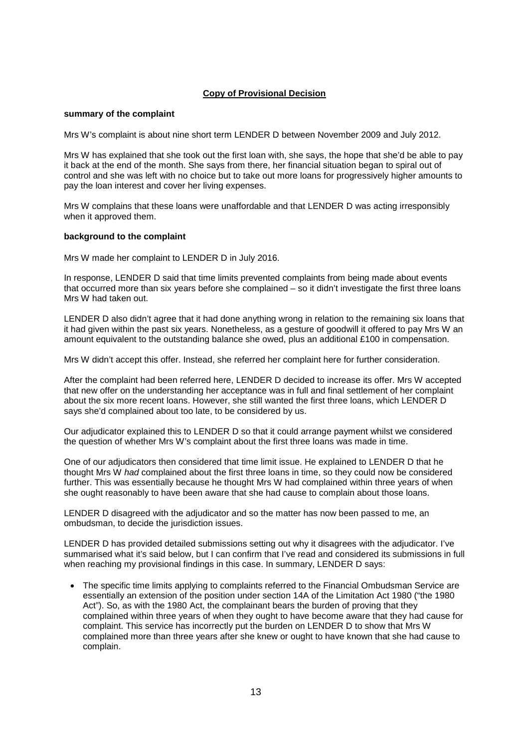### **Copy of Provisional Decision**

#### **summary of the complaint**

Mrs W's complaint is about nine short term LENDER D between November 2009 and July 2012.

Mrs W has explained that she took out the first loan with, she says, the hope that she'd be able to pay it back at the end of the month. She says from there, her financial situation began to spiral out of control and she was left with no choice but to take out more loans for progressively higher amounts to pay the loan interest and cover her living expenses.

Mrs W complains that these loans were unaffordable and that LENDER D was acting irresponsibly when it approved them.

#### **background to the complaint**

Mrs W made her complaint to LENDER D in July 2016.

In response, LENDER D said that time limits prevented complaints from being made about events that occurred more than six years before she complained – so it didn't investigate the first three loans Mrs W had taken out.

LENDER D also didn't agree that it had done anything wrong in relation to the remaining six loans that it had given within the past six years. Nonetheless, as a gesture of goodwill it offered to pay Mrs W an amount equivalent to the outstanding balance she owed, plus an additional £100 in compensation.

Mrs W didn't accept this offer. Instead, she referred her complaint here for further consideration.

After the complaint had been referred here, LENDER D decided to increase its offer. Mrs W accepted that new offer on the understanding her acceptance was in full and final settlement of her complaint about the six more recent loans. However, she still wanted the first three loans, which LENDER D says she'd complained about too late, to be considered by us.

Our adjudicator explained this to LENDER D so that it could arrange payment whilst we considered the question of whether Mrs W's complaint about the first three loans was made in time.

One of our adjudicators then considered that time limit issue. He explained to LENDER D that he thought Mrs W *had* complained about the first three loans in time, so they could now be considered further. This was essentially because he thought Mrs W had complained within three years of when she ought reasonably to have been aware that she had cause to complain about those loans.

LENDER D disagreed with the adjudicator and so the matter has now been passed to me, an ombudsman, to decide the jurisdiction issues.

LENDER D has provided detailed submissions setting out why it disagrees with the adjudicator. I've summarised what it's said below, but I can confirm that I've read and considered its submissions in full when reaching my provisional findings in this case. In summary, LENDER D says:

• The specific time limits applying to complaints referred to the Financial Ombudsman Service are essentially an extension of the position under section 14A of the Limitation Act 1980 ("the 1980 Act"). So, as with the 1980 Act, the complainant bears the burden of proving that they complained within three years of when they ought to have become aware that they had cause for complaint. This service has incorrectly put the burden on LENDER D to show that Mrs W complained more than three years after she knew or ought to have known that she had cause to complain.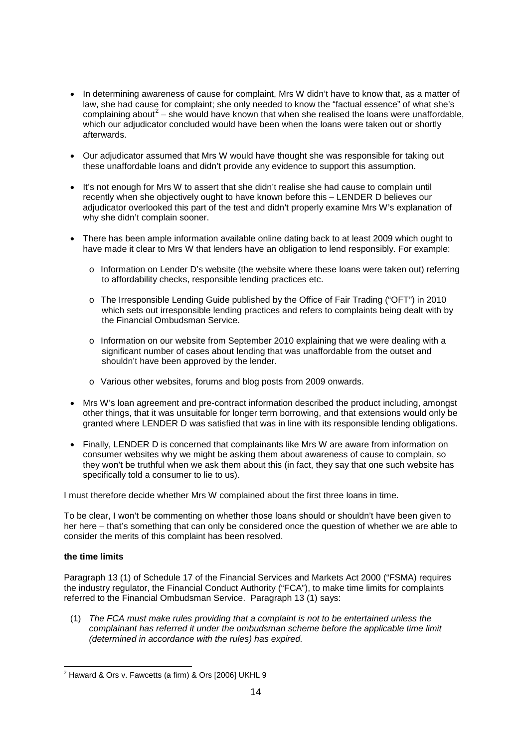- In determining awareness of cause for complaint, Mrs W didn't have to know that, as a matter of law, she had cause for complaint; she only needed to know the "factual essence" of what she's complaining about<sup>[2](#page-13-0)</sup> – she would have known that when she realised the loans were unaffordable, which our adjudicator concluded would have been when the loans were taken out or shortly afterwards.
- Our adjudicator assumed that Mrs W would have thought she was responsible for taking out these unaffordable loans and didn't provide any evidence to support this assumption.
- It's not enough for Mrs W to assert that she didn't realise she had cause to complain until recently when she objectively ought to have known before this – LENDER D believes our adjudicator overlooked this part of the test and didn't properly examine Mrs W's explanation of why she didn't complain sooner.
- There has been ample information available online dating back to at least 2009 which ought to have made it clear to Mrs W that lenders have an obligation to lend responsibly. For example:
	- o Information on Lender D's website (the website where these loans were taken out) referring to affordability checks, responsible lending practices etc.
	- o The Irresponsible Lending Guide published by the Office of Fair Trading ("OFT") in 2010 which sets out irresponsible lending practices and refers to complaints being dealt with by the Financial Ombudsman Service.
	- o Information on our website from September 2010 explaining that we were dealing with a significant number of cases about lending that was unaffordable from the outset and shouldn't have been approved by the lender.
	- o Various other websites, forums and blog posts from 2009 onwards.
- Mrs W's loan agreement and pre-contract information described the product including, amongst other things, that it was unsuitable for longer term borrowing, and that extensions would only be granted where LENDER D was satisfied that was in line with its responsible lending obligations.
- Finally, LENDER D is concerned that complainants like Mrs W are aware from information on consumer websites why we might be asking them about awareness of cause to complain, so they won't be truthful when we ask them about this (in fact, they say that one such website has specifically told a consumer to lie to us).

I must therefore decide whether Mrs W complained about the first three loans in time.

To be clear, I won't be commenting on whether those loans should or shouldn't have been given to her here – that's something that can only be considered once the question of whether we are able to consider the merits of this complaint has been resolved.

### **the time limits**

Paragraph 13 (1) of Schedule 17 of the Financial Services and Markets Act 2000 ("FSMA) requires the industry regulator, the Financial Conduct Authority ("FCA"), to make time limits for complaints referred to the Financial Ombudsman Service. Paragraph 13 (1) says:

(1) *The FCA must make rules providing that a complaint is not to be entertained unless the complainant has referred it under the ombudsman scheme before the applicable time limit (determined in accordance with the rules) has expired.*

<span id="page-13-0"></span> $2$  Haward & Ors v. Fawcetts (a firm) & Ors [2006] UKHL 9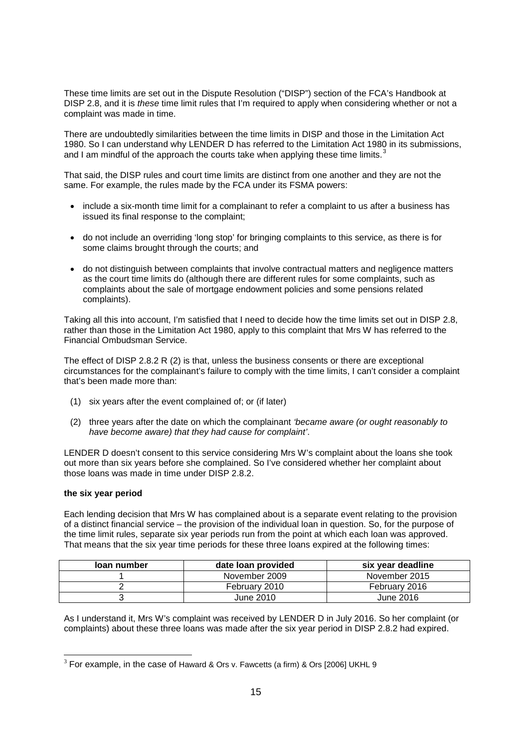These time limits are set out in the Dispute Resolution ("DISP") section of the FCA's Handbook at DISP 2.8, and it is *these* time limit rules that I'm required to apply when considering whether or not a complaint was made in time.

There are undoubtedly similarities between the time limits in DISP and those in the Limitation Act 1980. So I can understand why LENDER D has referred to the Limitation Act 1980 in its submissions, and I am mindful of the approach the courts take when applying these time limits.<sup>[3](#page-14-0)</sup>

That said, the DISP rules and court time limits are distinct from one another and they are not the same. For example, the rules made by the FCA under its FSMA powers:

- include a six-month time limit for a complainant to refer a complaint to us after a business has issued its final response to the complaint;
- do not include an overriding 'long stop' for bringing complaints to this service, as there is for some claims brought through the courts; and
- do not distinguish between complaints that involve contractual matters and negligence matters as the court time limits do (although there are different rules for some complaints, such as complaints about the sale of mortgage endowment policies and some pensions related complaints).

Taking all this into account, I'm satisfied that I need to decide how the time limits set out in DISP 2.8, rather than those in the Limitation Act 1980, apply to this complaint that Mrs W has referred to the Financial Ombudsman Service.

The effect of DISP 2.8.2 R (2) is that, unless the business consents or there are exceptional circumstances for the complainant's failure to comply with the time limits, I can't consider a complaint that's been made more than:

- (1) six years after the event complained of; or (if later)
- (2) three years after the date on which the complainant *'became aware (or ought reasonably to have become aware) that they had cause for complaint'*.

LENDER D doesn't consent to this service considering Mrs W's complaint about the loans she took out more than six years before she complained. So I've considered whether her complaint about those loans was made in time under DISP 2.8.2.

### **the six year period**

Each lending decision that Mrs W has complained about is a separate event relating to the provision of a distinct financial service – the provision of the individual loan in question. So, for the purpose of the time limit rules, separate six year periods run from the point at which each loan was approved. That means that the six year time periods for these three loans expired at the following times:

| loan number | date loan provided | six year deadline |
|-------------|--------------------|-------------------|
|             | November 2009      | November 2015     |
|             | February 2010      | February 2016     |
|             | June 2010          | June 2016         |

As I understand it, Mrs W's complaint was received by LENDER D in July 2016. So her complaint (or complaints) about these three loans was made after the six year period in DISP 2.8.2 had expired.

<span id="page-14-0"></span> $3$  For example, in the case of Haward & Ors v. Fawcetts (a firm) & Ors [2006] UKHL 9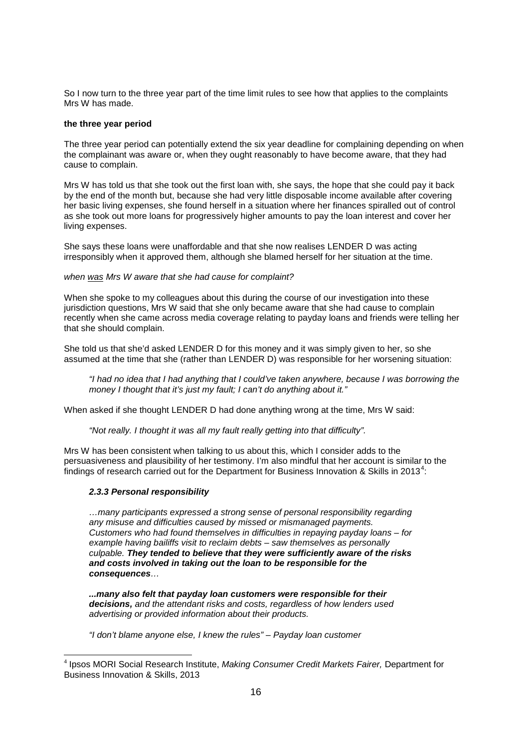So I now turn to the three year part of the time limit rules to see how that applies to the complaints Mrs W has made.

### **the three year period**

The three year period can potentially extend the six year deadline for complaining depending on when the complainant was aware or, when they ought reasonably to have become aware, that they had cause to complain.

Mrs W has told us that she took out the first loan with, she says, the hope that she could pay it back by the end of the month but, because she had very little disposable income available after covering her basic living expenses, she found herself in a situation where her finances spiralled out of control as she took out more loans for progressively higher amounts to pay the loan interest and cover her living expenses.

She says these loans were unaffordable and that she now realises LENDER D was acting irresponsibly when it approved them, although she blamed herself for her situation at the time.

### *when was Mrs W aware that she had cause for complaint?*

When she spoke to my colleagues about this during the course of our investigation into these jurisdiction questions, Mrs W said that she only became aware that she had cause to complain recently when she came across media coverage relating to payday loans and friends were telling her that she should complain.

She told us that she'd asked LENDER D for this money and it was simply given to her, so she assumed at the time that she (rather than LENDER D) was responsible for her worsening situation:

*"I had no idea that I had anything that I could've taken anywhere, because I was borrowing the money I thought that it's just my fault; I can't do anything about it."*

When asked if she thought LENDER D had done anything wrong at the time, Mrs W said:

*"Not really. I thought it was all my fault really getting into that difficulty".*

Mrs W has been consistent when talking to us about this, which I consider adds to the persuasiveness and plausibility of her testimony. I'm also mindful that her account is similar to the findings of research carried out for the Department for Business Innovation & Skills in 2013<sup>[4](#page-15-0)</sup>:

### *2.3.3 Personal responsibility*

*…many participants expressed a strong sense of personal responsibility regarding any misuse and difficulties caused by missed or mismanaged payments. Customers who had found themselves in difficulties in repaying payday loans – for example having bailiffs visit to reclaim debts – saw themselves as personally culpable. They tended to believe that they were sufficiently aware of the risks and costs involved in taking out the loan to be responsible for the consequences…*

*...many also felt that payday loan customers were responsible for their decisions, and the attendant risks and costs, regardless of how lenders used advertising or provided information about their products.*

*"I don't blame anyone else, I knew the rules" – Payday loan customer*

<span id="page-15-0"></span><sup>4</sup> Ipsos MORI Social Research Institute, *Making Consumer Credit Markets Fairer,* Department for Business Innovation & Skills, 2013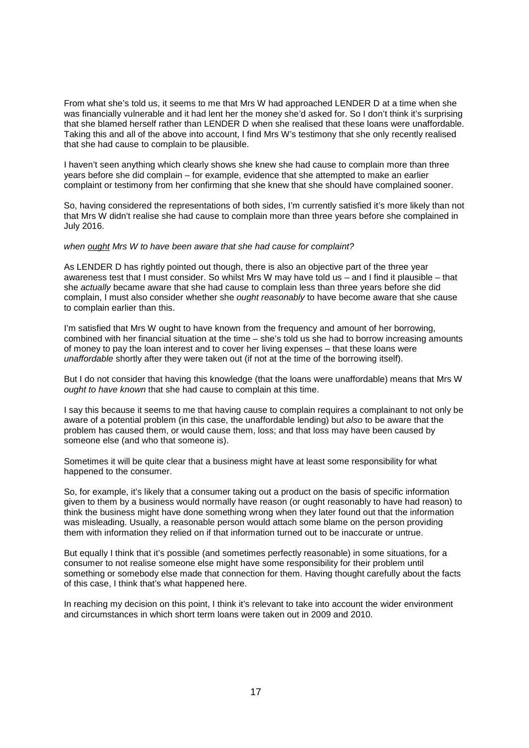From what she's told us, it seems to me that Mrs W had approached LENDER D at a time when she was financially vulnerable and it had lent her the money she'd asked for. So I don't think it's surprising that she blamed herself rather than LENDER D when she realised that these loans were unaffordable. Taking this and all of the above into account, I find Mrs W's testimony that she only recently realised that she had cause to complain to be plausible.

I haven't seen anything which clearly shows she knew she had cause to complain more than three years before she did complain – for example, evidence that she attempted to make an earlier complaint or testimony from her confirming that she knew that she should have complained sooner.

So, having considered the representations of both sides, I'm currently satisfied it's more likely than not that Mrs W didn't realise she had cause to complain more than three years before she complained in July 2016.

#### *when ought Mrs W to have been aware that she had cause for complaint?*

As LENDER D has rightly pointed out though, there is also an objective part of the three year awareness test that I must consider. So whilst Mrs W may have told us – and I find it plausible – that she *actually* became aware that she had cause to complain less than three years before she did complain, I must also consider whether she *ought reasonably* to have become aware that she cause to complain earlier than this.

I'm satisfied that Mrs W ought to have known from the frequency and amount of her borrowing, combined with her financial situation at the time – she's told us she had to borrow increasing amounts of money to pay the loan interest and to cover her living expenses – that these loans were *unaffordable* shortly after they were taken out (if not at the time of the borrowing itself).

But I do not consider that having this knowledge (that the loans were unaffordable) means that Mrs W *ought to have known* that she had cause to complain at this time.

I say this because it seems to me that having cause to complain requires a complainant to not only be aware of a potential problem (in this case, the unaffordable lending) but *also* to be aware that the problem has caused them, or would cause them, loss; and that loss may have been caused by someone else (and who that someone is).

Sometimes it will be quite clear that a business might have at least some responsibility for what happened to the consumer.

So, for example, it's likely that a consumer taking out a product on the basis of specific information given to them by a business would normally have reason (or ought reasonably to have had reason) to think the business might have done something wrong when they later found out that the information was misleading. Usually, a reasonable person would attach some blame on the person providing them with information they relied on if that information turned out to be inaccurate or untrue.

But equally I think that it's possible (and sometimes perfectly reasonable) in some situations, for a consumer to not realise someone else might have some responsibility for their problem until something or somebody else made that connection for them. Having thought carefully about the facts of this case, I think that's what happened here.

In reaching my decision on this point, I think it's relevant to take into account the wider environment and circumstances in which short term loans were taken out in 2009 and 2010.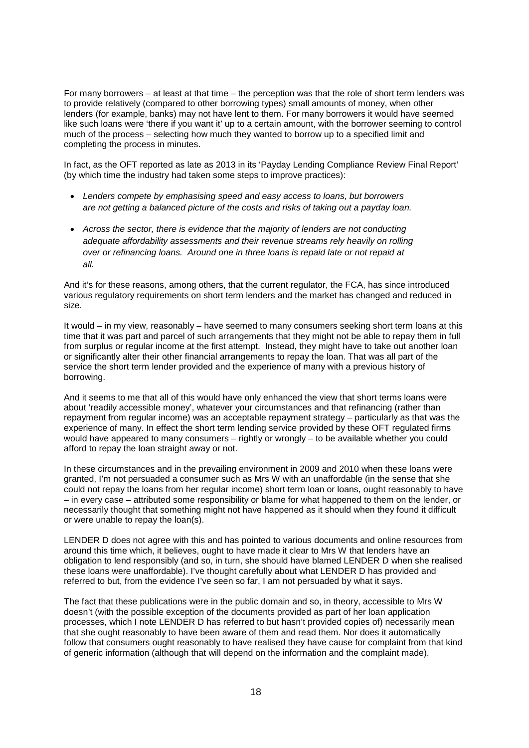For many borrowers – at least at that time – the perception was that the role of short term lenders was to provide relatively (compared to other borrowing types) small amounts of money, when other lenders (for example, banks) may not have lent to them. For many borrowers it would have seemed like such loans were 'there if you want it' up to a certain amount, with the borrower seeming to control much of the process – selecting how much they wanted to borrow up to a specified limit and completing the process in minutes.

In fact, as the OFT reported as late as 2013 in its 'Payday Lending Compliance Review Final Report' (by which time the industry had taken some steps to improve practices):

- *Lenders compete by emphasising speed and easy access to loans, but borrowers are not getting a balanced picture of the costs and risks of taking out a payday loan.*
- *Across the sector, there is evidence that the majority of lenders are not conducting adequate affordability assessments and their revenue streams rely heavily on rolling over or refinancing loans. Around one in three loans is repaid late or not repaid at all.*

And it's for these reasons, among others, that the current regulator, the FCA, has since introduced various regulatory requirements on short term lenders and the market has changed and reduced in size.

It would – in my view, reasonably – have seemed to many consumers seeking short term loans at this time that it was part and parcel of such arrangements that they might not be able to repay them in full from surplus or regular income at the first attempt. Instead, they might have to take out another loan or significantly alter their other financial arrangements to repay the loan. That was all part of the service the short term lender provided and the experience of many with a previous history of borrowing.

And it seems to me that all of this would have only enhanced the view that short terms loans were about 'readily accessible money', whatever your circumstances and that refinancing (rather than repayment from regular income) was an acceptable repayment strategy – particularly as that was the experience of many. In effect the short term lending service provided by these OFT regulated firms would have appeared to many consumers – rightly or wrongly – to be available whether you could afford to repay the loan straight away or not.

In these circumstances and in the prevailing environment in 2009 and 2010 when these loans were granted, I'm not persuaded a consumer such as Mrs W with an unaffordable (in the sense that she could not repay the loans from her regular income) short term loan or loans, ought reasonably to have – in every case – attributed some responsibility or blame for what happened to them on the lender, or necessarily thought that something might not have happened as it should when they found it difficult or were unable to repay the loan(s).

LENDER D does not agree with this and has pointed to various documents and online resources from around this time which, it believes, ought to have made it clear to Mrs W that lenders have an obligation to lend responsibly (and so, in turn, she should have blamed LENDER D when she realised these loans were unaffordable). I've thought carefully about what LENDER D has provided and referred to but, from the evidence I've seen so far, I am not persuaded by what it says.

The fact that these publications were in the public domain and so, in theory, accessible to Mrs W doesn't (with the possible exception of the documents provided as part of her loan application processes, which I note LENDER D has referred to but hasn't provided copies of) necessarily mean that she ought reasonably to have been aware of them and read them. Nor does it automatically follow that consumers ought reasonably to have realised they have cause for complaint from that kind of generic information (although that will depend on the information and the complaint made).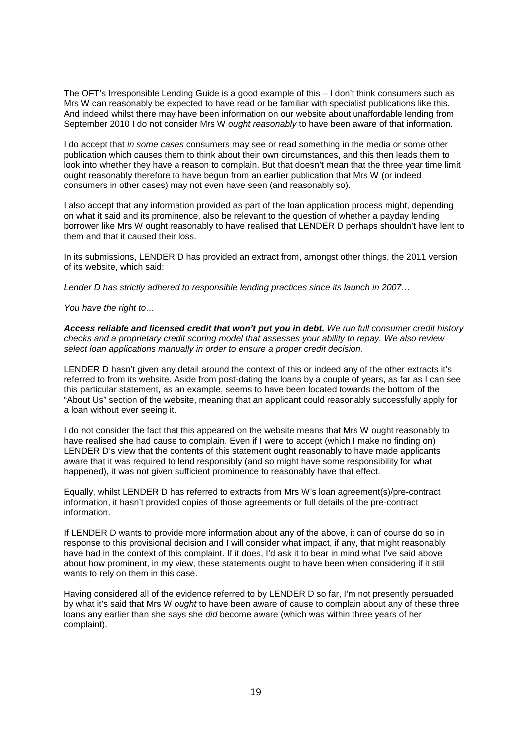The OFT's Irresponsible Lending Guide is a good example of this – I don't think consumers such as Mrs W can reasonably be expected to have read or be familiar with specialist publications like this. And indeed whilst there may have been information on our website about unaffordable lending from September 2010 I do not consider Mrs W *ought reasonably* to have been aware of that information.

I do accept that *in some cases* consumers may see or read something in the media or some other publication which causes them to think about their own circumstances, and this then leads them to look into whether they have a reason to complain. But that doesn't mean that the three year time limit ought reasonably therefore to have begun from an earlier publication that Mrs W (or indeed consumers in other cases) may not even have seen (and reasonably so).

I also accept that any information provided as part of the loan application process might, depending on what it said and its prominence, also be relevant to the question of whether a payday lending borrower like Mrs W ought reasonably to have realised that LENDER D perhaps shouldn't have lent to them and that it caused their loss.

In its submissions, LENDER D has provided an extract from, amongst other things, the 2011 version of its website, which said:

*Lender D has strictly adhered to responsible lending practices since its launch in 2007…*

*You have the right to…*

*Access reliable and licensed credit that won't put you in debt. We run full consumer credit history checks and a proprietary credit scoring model that assesses your ability to repay. We also review select loan applications manually in order to ensure a proper credit decision.*

LENDER D hasn't given any detail around the context of this or indeed any of the other extracts it's referred to from its website. Aside from post-dating the loans by a couple of years, as far as I can see this particular statement, as an example, seems to have been located towards the bottom of the "About Us" section of the website, meaning that an applicant could reasonably successfully apply for a loan without ever seeing it.

I do not consider the fact that this appeared on the website means that Mrs W ought reasonably to have realised she had cause to complain. Even if I were to accept (which I make no finding on) LENDER D's view that the contents of this statement ought reasonably to have made applicants aware that it was required to lend responsibly (and so might have some responsibility for what happened), it was not given sufficient prominence to reasonably have that effect.

Equally, whilst LENDER D has referred to extracts from Mrs W's loan agreement(s)/pre-contract information, it hasn't provided copies of those agreements or full details of the pre-contract information.

If LENDER D wants to provide more information about any of the above, it can of course do so in response to this provisional decision and I will consider what impact, if any, that might reasonably have had in the context of this complaint. If it does, I'd ask it to bear in mind what I've said above about how prominent, in my view, these statements ought to have been when considering if it still wants to rely on them in this case.

Having considered all of the evidence referred to by LENDER D so far, I'm not presently persuaded by what it's said that Mrs W *ought* to have been aware of cause to complain about any of these three loans any earlier than she says she *did* become aware (which was within three years of her complaint).